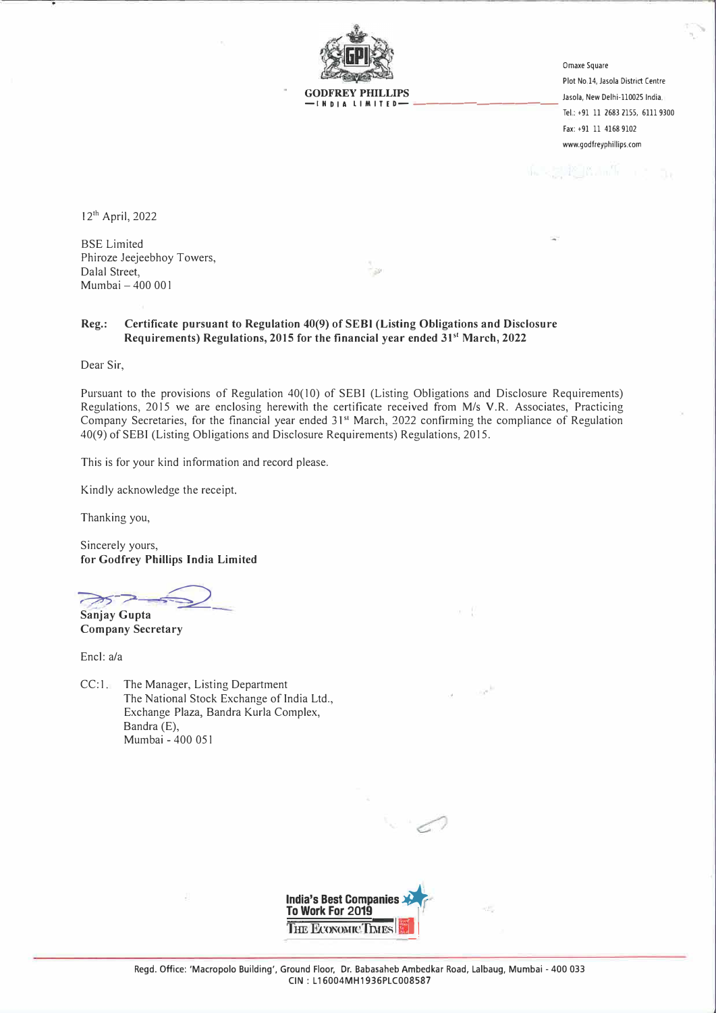**GODFREY PHILLIPS** Jasola, New Delhi-110025 India. **-IND I A LIMITED------------**

Omaxe Square Plot No,14, Jasola District Centre Tel.: +91 11 2683 2155, 6111 9300 Fax: +91 11 4168 9102 www.godfreyphillips.com

12th April, 2022

BSE Limited Phiroze Jeejeebhoy Towers, Dalal Street, Mumbai-400 001

**Reg.: Certificate pursuant to Regulation 40(9) of SEBI (Listing Obligations and Disclosure Requirements) Regulations, 2015 for the financial year ended 31'<sup>1</sup>March, 2022** 

Dear Sir,

Pursuant to the provisions of Regulation 40(10) of SEBI (Listing Obligations and Disclosure Requirements) Regulations, 2015 we are enclosing herewith the certificate received from *Mis* V.R. Associates, Practicing Company Secretaries, for the financial year ended 31<sup>st</sup> March, 2022 confirming the compliance of Regulation 40(9) of SEBI (Listing Obligations and Disclosure Requirements) Regulations, 2015.

a f

This is for your kind information and record please.

Kindly acknowledge the receipt.

Thanking you,

Sincerely yours, **for Godfrey Phillips India Limited** 

**best 2008 of the Sanjay Gupta** 

**Company Secretary** 

Encl: a/a

CC: 1. The Manager, Listing Department The National Stock Exchange of India Ltd., Exchange Plaza, Sandra Kurla Complex, Bandra (E), Mumbai - 400 051